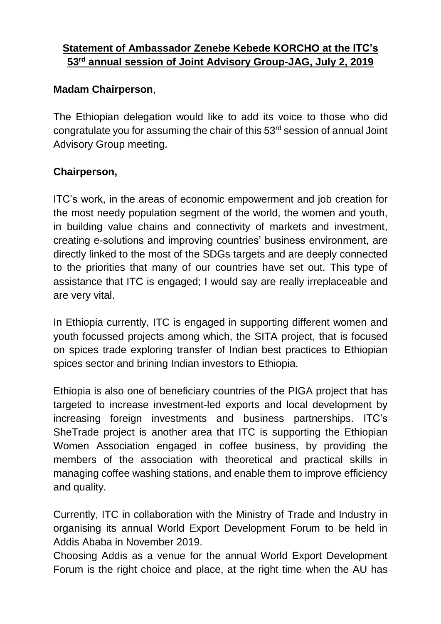## **Statement of Ambassador Zenebe Kebede KORCHO at the ITC's 53rd annual session of Joint Advisory Group-JAG, July 2, 2019**

## **Madam Chairperson**,

The Ethiopian delegation would like to add its voice to those who did congratulate you for assuming the chair of this 53 rd session of annual Joint Advisory Group meeting.

## **Chairperson,**

ITC's work, in the areas of economic empowerment and job creation for the most needy population segment of the world, the women and youth, in building value chains and connectivity of markets and investment, creating e-solutions and improving countries' business environment, are directly linked to the most of the SDGs targets and are deeply connected to the priorities that many of our countries have set out. This type of assistance that ITC is engaged; I would say are really irreplaceable and are very vital.

In Ethiopia currently, ITC is engaged in supporting different women and youth focussed projects among which, the SITA project, that is focused on spices trade exploring transfer of Indian best practices to Ethiopian spices sector and brining Indian investors to Ethiopia.

Ethiopia is also one of beneficiary countries of the PIGA project that has targeted to increase investment-led exports and local development by increasing foreign investments and business partnerships. ITC's SheTrade project is another area that ITC is supporting the Ethiopian Women Association engaged in coffee business, by providing the members of the association with theoretical and practical skills in managing coffee washing stations, and enable them to improve efficiency and quality.

Currently, ITC in collaboration with the Ministry of Trade and Industry in organising its annual World Export Development Forum to be held in Addis Ababa in November 2019.

Choosing Addis as a venue for the annual World Export Development Forum is the right choice and place, at the right time when the AU has